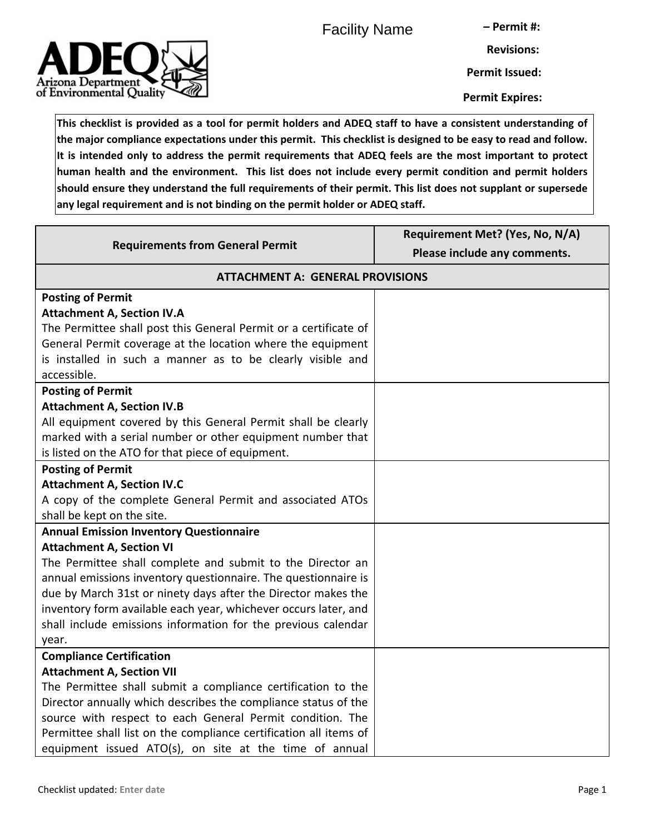Facility Name

**– Permit #:**



**Permit Issued:**

**Permit Expires:**

**This checklist is provided as a tool for permit holders and ADEQ staff to have a consistent understanding of the major compliance expectations under this permit. This checklist is designed to be easy to read and follow. It is intended only to address the permit requirements that ADEQ feels are the most important to protect human health and the environment. This list does not include every permit condition and permit holders should ensure they understand the full requirements of their permit. This list does not supplant or supersede any legal requirement and is not binding on the permit holder or ADEQ staff.**

| <b>Requirements from General Permit</b>                           | Requirement Met? (Yes, No, N/A)<br>Please include any comments. |
|-------------------------------------------------------------------|-----------------------------------------------------------------|
| <b>ATTACHMENT A: GENERAL PROVISIONS</b>                           |                                                                 |
| <b>Posting of Permit</b>                                          |                                                                 |
| <b>Attachment A, Section IV.A</b>                                 |                                                                 |
| The Permittee shall post this General Permit or a certificate of  |                                                                 |
| General Permit coverage at the location where the equipment       |                                                                 |
| is installed in such a manner as to be clearly visible and        |                                                                 |
| accessible.                                                       |                                                                 |
| <b>Posting of Permit</b>                                          |                                                                 |
| <b>Attachment A, Section IV.B</b>                                 |                                                                 |
| All equipment covered by this General Permit shall be clearly     |                                                                 |
| marked with a serial number or other equipment number that        |                                                                 |
| is listed on the ATO for that piece of equipment.                 |                                                                 |
| <b>Posting of Permit</b>                                          |                                                                 |
| <b>Attachment A, Section IV.C</b>                                 |                                                                 |
| A copy of the complete General Permit and associated ATOs         |                                                                 |
| shall be kept on the site.                                        |                                                                 |
| <b>Annual Emission Inventory Questionnaire</b>                    |                                                                 |
| <b>Attachment A, Section VI</b>                                   |                                                                 |
| The Permittee shall complete and submit to the Director an        |                                                                 |
| annual emissions inventory questionnaire. The questionnaire is    |                                                                 |
| due by March 31st or ninety days after the Director makes the     |                                                                 |
| inventory form available each year, whichever occurs later, and   |                                                                 |
| shall include emissions information for the previous calendar     |                                                                 |
| year.                                                             |                                                                 |
| <b>Compliance Certification</b>                                   |                                                                 |
| <b>Attachment A, Section VII</b>                                  |                                                                 |
| The Permittee shall submit a compliance certification to the      |                                                                 |
| Director annually which describes the compliance status of the    |                                                                 |
| source with respect to each General Permit condition. The         |                                                                 |
| Permittee shall list on the compliance certification all items of |                                                                 |
| equipment issued ATO(s), on site at the time of annual            |                                                                 |

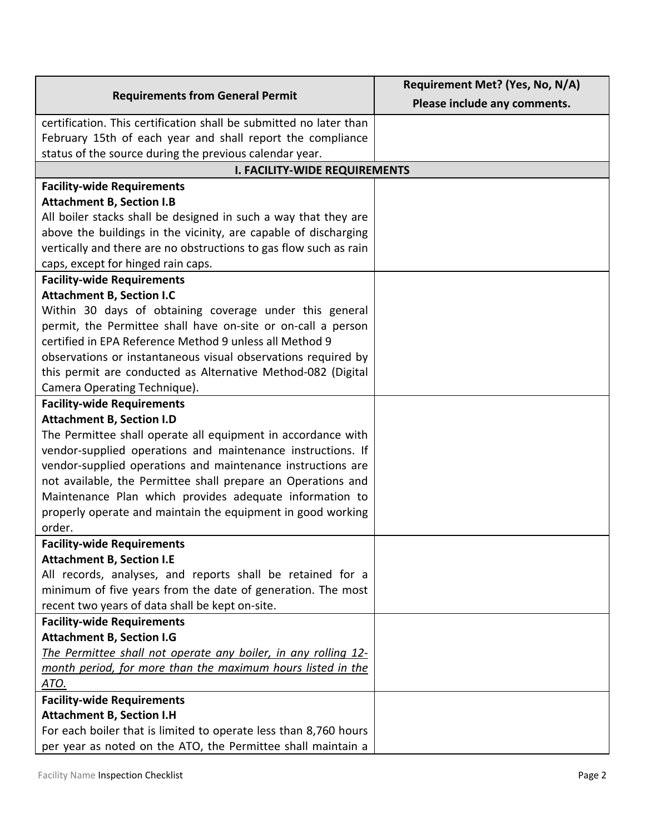| <b>Requirements from General Permit</b>                               | Requirement Met? (Yes, No, N/A) |  |
|-----------------------------------------------------------------------|---------------------------------|--|
|                                                                       | Please include any comments.    |  |
| certification. This certification shall be submitted no later than    |                                 |  |
| February 15th of each year and shall report the compliance            |                                 |  |
| status of the source during the previous calendar year.               |                                 |  |
| <b>I. FACILITY-WIDE REQUIREMENTS</b>                                  |                                 |  |
| <b>Facility-wide Requirements</b>                                     |                                 |  |
| <b>Attachment B, Section I.B</b>                                      |                                 |  |
| All boiler stacks shall be designed in such a way that they are       |                                 |  |
| above the buildings in the vicinity, are capable of discharging       |                                 |  |
| vertically and there are no obstructions to gas flow such as rain     |                                 |  |
| caps, except for hinged rain caps.                                    |                                 |  |
| <b>Facility-wide Requirements</b>                                     |                                 |  |
| <b>Attachment B, Section I.C</b>                                      |                                 |  |
| Within 30 days of obtaining coverage under this general               |                                 |  |
| permit, the Permittee shall have on-site or on-call a person          |                                 |  |
| certified in EPA Reference Method 9 unless all Method 9               |                                 |  |
| observations or instantaneous visual observations required by         |                                 |  |
| this permit are conducted as Alternative Method-082 (Digital          |                                 |  |
| Camera Operating Technique).                                          |                                 |  |
| <b>Facility-wide Requirements</b>                                     |                                 |  |
| <b>Attachment B, Section I.D</b>                                      |                                 |  |
| The Permittee shall operate all equipment in accordance with          |                                 |  |
| vendor-supplied operations and maintenance instructions. If           |                                 |  |
| vendor-supplied operations and maintenance instructions are           |                                 |  |
| not available, the Permittee shall prepare an Operations and          |                                 |  |
| Maintenance Plan which provides adequate information to               |                                 |  |
| properly operate and maintain the equipment in good working<br>order. |                                 |  |
| <b>Facility-wide Requirements</b>                                     |                                 |  |
| <b>Attachment B, Section I.E</b>                                      |                                 |  |
| All records, analyses, and reports shall be retained for a            |                                 |  |
| minimum of five years from the date of generation. The most           |                                 |  |
| recent two years of data shall be kept on-site.                       |                                 |  |
| <b>Facility-wide Requirements</b>                                     |                                 |  |
| <b>Attachment B, Section I.G</b>                                      |                                 |  |
| The Permittee shall not operate any boiler, in any rolling 12-        |                                 |  |
| month period, for more than the maximum hours listed in the           |                                 |  |
| ATO.                                                                  |                                 |  |
| <b>Facility-wide Requirements</b>                                     |                                 |  |
| <b>Attachment B, Section I.H</b>                                      |                                 |  |
| For each boiler that is limited to operate less than 8,760 hours      |                                 |  |
| per year as noted on the ATO, the Permittee shall maintain a          |                                 |  |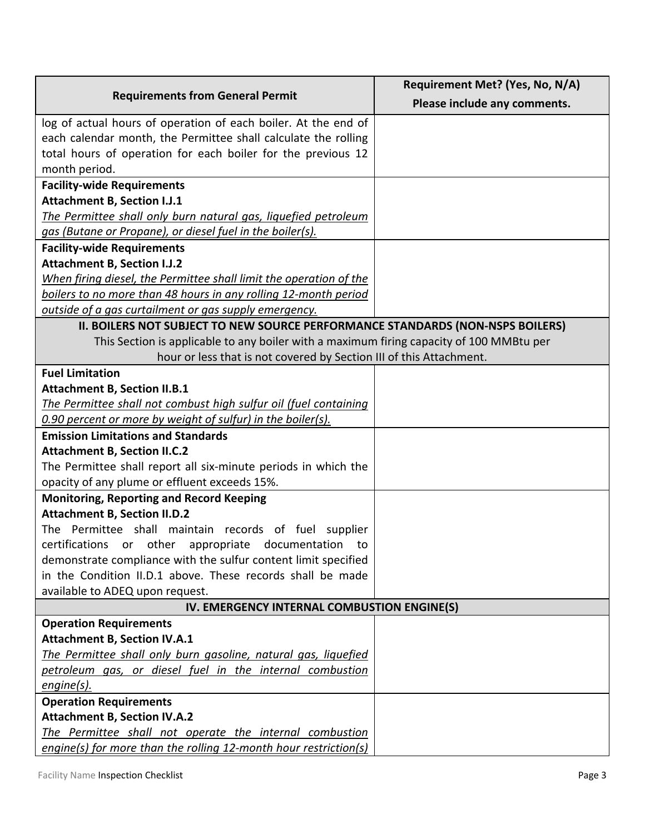| <b>Requirements from General Permit</b>                                                  | Requirement Met? (Yes, No, N/A) |
|------------------------------------------------------------------------------------------|---------------------------------|
|                                                                                          | Please include any comments.    |
| log of actual hours of operation of each boiler. At the end of                           |                                 |
| each calendar month, the Permittee shall calculate the rolling                           |                                 |
| total hours of operation for each boiler for the previous 12                             |                                 |
| month period.                                                                            |                                 |
| <b>Facility-wide Requirements</b>                                                        |                                 |
| <b>Attachment B, Section I.J.1</b>                                                       |                                 |
| The Permittee shall only burn natural gas, liquefied petroleum                           |                                 |
| gas (Butane or Propane), or diesel fuel in the boiler(s).                                |                                 |
| <b>Facility-wide Requirements</b>                                                        |                                 |
| <b>Attachment B, Section I.J.2</b>                                                       |                                 |
| When firing diesel, the Permittee shall limit the operation of the                       |                                 |
| boilers to no more than 48 hours in any rolling 12-month period                          |                                 |
| outside of a gas curtailment or gas supply emergency.                                    |                                 |
| II. BOILERS NOT SUBJECT TO NEW SOURCE PERFORMANCE STANDARDS (NON-NSPS BOILERS)           |                                 |
| This Section is applicable to any boiler with a maximum firing capacity of 100 MMBtu per |                                 |
| hour or less that is not covered by Section III of this Attachment.                      |                                 |
| <b>Fuel Limitation</b>                                                                   |                                 |
| <b>Attachment B, Section II.B.1</b>                                                      |                                 |
| The Permittee shall not combust high sulfur oil (fuel containing                         |                                 |
| 0.90 percent or more by weight of sulfur) in the boiler(s).                              |                                 |
| <b>Emission Limitations and Standards</b>                                                |                                 |
| <b>Attachment B, Section II.C.2</b>                                                      |                                 |
| The Permittee shall report all six-minute periods in which the                           |                                 |
| opacity of any plume or effluent exceeds 15%.                                            |                                 |
| <b>Monitoring, Reporting and Record Keeping</b>                                          |                                 |
| <b>Attachment B, Section II.D.2</b>                                                      |                                 |
| The Permittee shall maintain records of fuel supplier                                    |                                 |
| certifications or<br>other appropriate documentation<br>to                               |                                 |
| demonstrate compliance with the sulfur content limit specified                           |                                 |
| in the Condition II.D.1 above. These records shall be made                               |                                 |
| available to ADEQ upon request.                                                          |                                 |
| IV. EMERGENCY INTERNAL COMBUSTION ENGINE(S)                                              |                                 |
| <b>Operation Requirements</b>                                                            |                                 |
| <b>Attachment B, Section IV.A.1</b>                                                      |                                 |
| The Permittee shall only burn gasoline, natural gas, liquefied                           |                                 |
| petroleum gas, or diesel fuel in the internal combustion                                 |                                 |
| engine(s).                                                                               |                                 |
| <b>Operation Requirements</b>                                                            |                                 |
| <b>Attachment B, Section IV.A.2</b>                                                      |                                 |
| The Permittee shall not operate the internal combustion                                  |                                 |
| engine(s) for more than the rolling 12-month hour restriction(s)                         |                                 |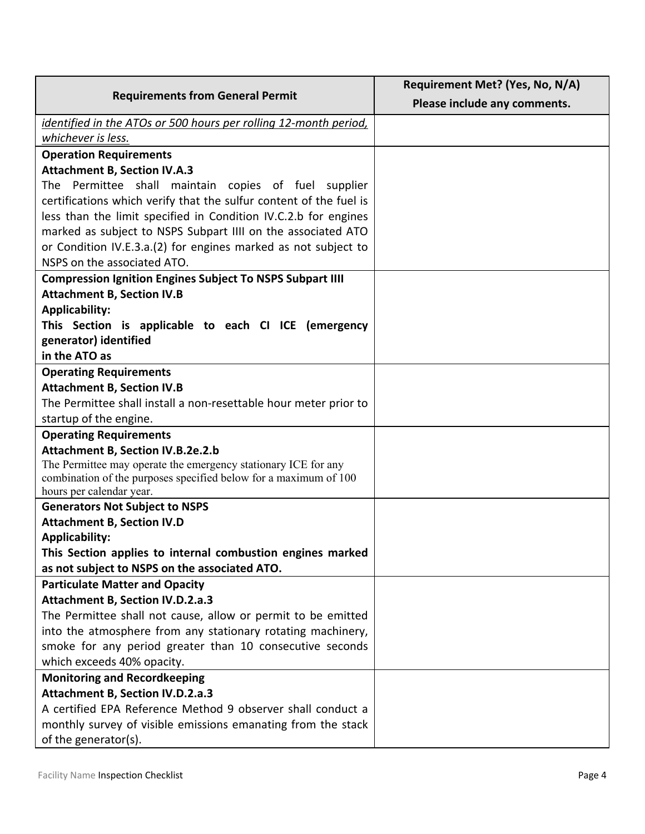| <b>Requirements from General Permit</b>                                                                                            | Requirement Met? (Yes, No, N/A) |
|------------------------------------------------------------------------------------------------------------------------------------|---------------------------------|
|                                                                                                                                    | Please include any comments.    |
| identified in the ATOs or 500 hours per rolling 12-month period,                                                                   |                                 |
| whichever is less.                                                                                                                 |                                 |
| <b>Operation Requirements</b>                                                                                                      |                                 |
| <b>Attachment B, Section IV.A.3</b>                                                                                                |                                 |
| The Permittee shall maintain copies of fuel supplier                                                                               |                                 |
| certifications which verify that the sulfur content of the fuel is                                                                 |                                 |
| less than the limit specified in Condition IV.C.2.b for engines                                                                    |                                 |
| marked as subject to NSPS Subpart IIII on the associated ATO                                                                       |                                 |
| or Condition IV.E.3.a.(2) for engines marked as not subject to                                                                     |                                 |
| NSPS on the associated ATO.                                                                                                        |                                 |
| <b>Compression Ignition Engines Subject To NSPS Subpart IIII</b>                                                                   |                                 |
| <b>Attachment B, Section IV.B</b>                                                                                                  |                                 |
| <b>Applicability:</b>                                                                                                              |                                 |
| This Section is applicable to each CI ICE (emergency                                                                               |                                 |
| generator) identified                                                                                                              |                                 |
| in the ATO as                                                                                                                      |                                 |
| <b>Operating Requirements</b>                                                                                                      |                                 |
| <b>Attachment B, Section IV.B</b>                                                                                                  |                                 |
| The Permittee shall install a non-resettable hour meter prior to                                                                   |                                 |
| startup of the engine.                                                                                                             |                                 |
| <b>Operating Requirements</b>                                                                                                      |                                 |
| Attachment B, Section IV.B.2e.2.b                                                                                                  |                                 |
| The Permittee may operate the emergency stationary ICE for any<br>combination of the purposes specified below for a maximum of 100 |                                 |
| hours per calendar year.                                                                                                           |                                 |
| <b>Generators Not Subject to NSPS</b>                                                                                              |                                 |
| <b>Attachment B, Section IV.D</b>                                                                                                  |                                 |
| <b>Applicability:</b>                                                                                                              |                                 |
| This Section applies to internal combustion engines marked                                                                         |                                 |
| as not subject to NSPS on the associated ATO.                                                                                      |                                 |
| <b>Particulate Matter and Opacity</b>                                                                                              |                                 |
| <b>Attachment B, Section IV.D.2.a.3</b>                                                                                            |                                 |
| The Permittee shall not cause, allow or permit to be emitted                                                                       |                                 |
| into the atmosphere from any stationary rotating machinery,                                                                        |                                 |
| smoke for any period greater than 10 consecutive seconds                                                                           |                                 |
| which exceeds 40% opacity.                                                                                                         |                                 |
| <b>Monitoring and Recordkeeping</b>                                                                                                |                                 |
| <b>Attachment B, Section IV.D.2.a.3</b>                                                                                            |                                 |
| A certified EPA Reference Method 9 observer shall conduct a                                                                        |                                 |
| monthly survey of visible emissions emanating from the stack                                                                       |                                 |
| of the generator(s).                                                                                                               |                                 |